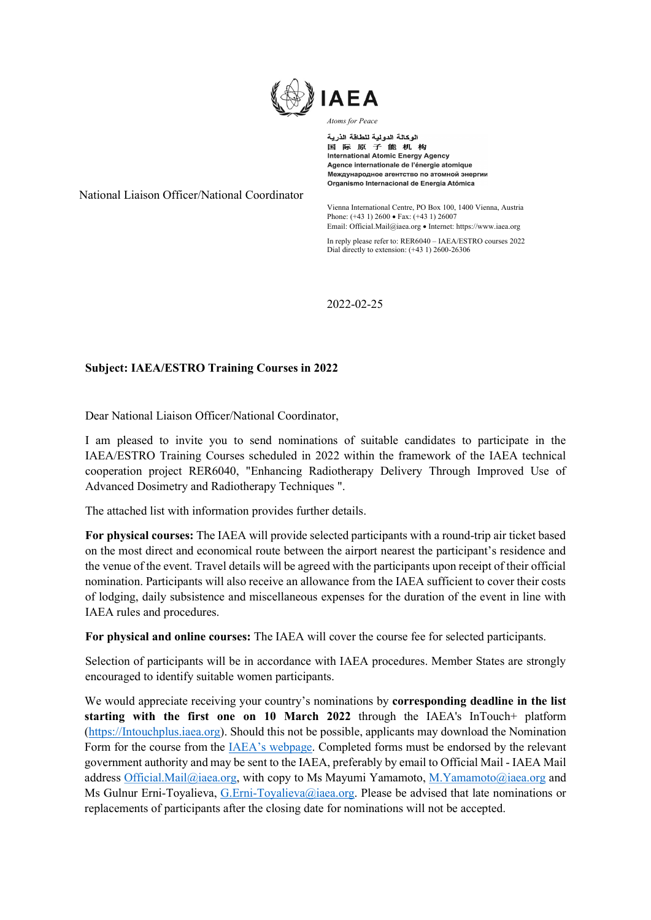

الوكالة الدولية للطاقة الذرية 国际原子能机构 **International Atomic Energy Agency** Agence internationale de l'énergie atomique Международное агентство по атомной энергии Organismo Internacional de Energía Atómica

National Liaison Officer/National Coordinator

Vienna International Centre, PO Box 100, 1400 Vienna, Austria Phone: (+43 1) 2600 • Fax: (+43 1) 26007 Email: Official.Mail@iaea.org • Internet: https://www.iaea.org

In reply please refer to: RER6040 – IAEA/ESTRO courses 2022 Dial directly to extension: (+43 1) 2600-26306

2022-02-25

## Subject: IAEA/ESTRO Training Courses in 2022

Dear National Liaison Officer/National Coordinator,

I am pleased to invite you to send nominations of suitable candidates to participate in the IAEA/ESTRO Training Courses scheduled in 2022 within the framework of the IAEA technical cooperation project RER6040, "Enhancing Radiotherapy Delivery Through Improved Use of Advanced Dosimetry and Radiotherapy Techniques ".

The attached list with information provides further details.

For physical courses: The IAEA will provide selected participants with a round-trip air ticket based on the most direct and economical route between the airport nearest the participant's residence and the venue of the event. Travel details will be agreed with the participants upon receipt of their official nomination. Participants will also receive an allowance from the IAEA sufficient to cover their costs of lodging, daily subsistence and miscellaneous expenses for the duration of the event in line with IAEA rules and procedures.

For physical and online courses: The IAEA will cover the course fee for selected participants.

Selection of participants will be in accordance with IAEA procedures. Member States are strongly encouraged to identify suitable women participants.

We would appreciate receiving your country's nominations by **corresponding deadline in the list** starting with the first one on 10 March 2022 through the IAEA's InTouch+ platform (https://Intouchplus.iaea.org). Should this not be possible, applicants may download the Nomination Form for the course from the IAEA's webpage. Completed forms must be endorsed by the relevant government authority and may be sent to the IAEA, preferably by email to Official Mail - IAEA Mail address Official.Mail@iaea.org, with copy to Ms Mayumi Yamamoto, M.Yamamoto@iaea.org and Ms Gulnur Erni-Toyalieva, G.Erni-Toyalieva@iaea.org. Please be advised that late nominations or replacements of participants after the closing date for nominations will not be accepted.